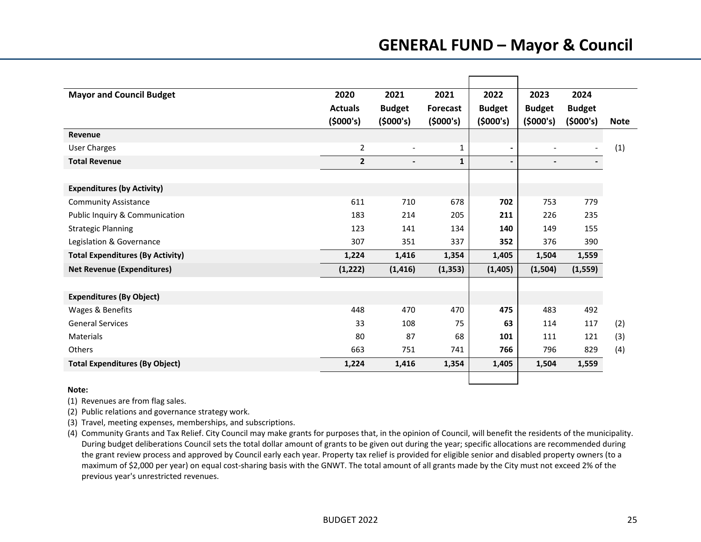# **GENERAL FUND – Mayor & Council**

| <b>Mayor and Council Budget</b>         | 2020           | 2021           | 2021            | 2022           | 2023           | 2024          |             |
|-----------------------------------------|----------------|----------------|-----------------|----------------|----------------|---------------|-------------|
|                                         | <b>Actuals</b> | <b>Budget</b>  | <b>Forecast</b> | <b>Budget</b>  | <b>Budget</b>  | <b>Budget</b> |             |
|                                         | (5000's)       | (5000's)       | (5000's)        | (5000's)       | (5000's)       | (5000's)      | <b>Note</b> |
| Revenue                                 |                |                |                 |                |                |               |             |
| <b>User Charges</b>                     | $\overline{2}$ |                | 1               |                |                |               | (1)         |
| <b>Total Revenue</b>                    | $\overline{2}$ | $\blacksquare$ | $\mathbf{1}$    | $\blacksquare$ | $\blacksquare$ |               |             |
|                                         |                |                |                 |                |                |               |             |
| <b>Expenditures (by Activity)</b>       |                |                |                 |                |                |               |             |
| <b>Community Assistance</b>             | 611            | 710            | 678             | 702            | 753            | 779           |             |
| Public Inquiry & Communication          | 183            | 214            | 205             | 211            | 226            | 235           |             |
| <b>Strategic Planning</b>               | 123            | 141            | 134             | 140            | 149            | 155           |             |
| Legislation & Governance                | 307            | 351            | 337             | 352            | 376            | 390           |             |
| <b>Total Expenditures (By Activity)</b> | 1,224          | 1,416          | 1,354           | 1,405          | 1,504          | 1,559         |             |
| <b>Net Revenue (Expenditures)</b>       | (1, 222)       | (1, 416)       | (1, 353)        | (1,405)        | (1,504)        | (1, 559)      |             |
|                                         |                |                |                 |                |                |               |             |
| <b>Expenditures (By Object)</b>         |                |                |                 |                |                |               |             |
| Wages & Benefits                        | 448            | 470            | 470             | 475            | 483            | 492           |             |
| <b>General Services</b>                 | 33             | 108            | 75              | 63             | 114            | 117           | (2)         |
| <b>Materials</b>                        | 80             | 87             | 68              | 101            | 111            | 121           | (3)         |
| <b>Others</b>                           | 663            | 751            | 741             | 766            | 796            | 829           | (4)         |
| <b>Total Expenditures (By Object)</b>   | 1,224          | 1,416          | 1,354           | 1,405          | 1,504          | 1,559         |             |
|                                         |                |                |                 |                |                |               |             |

### **Note:**

(1) Revenues are from flag sales.

(2) Public relations and governance strategy work.

(3) Travel, meeting expenses, memberships, and subscriptions.

(4) Community Grants and Tax Relief. City Council may make grants for purposes that, in the opinion of Council, will benefit the residents of the municipality. During budget deliberations Council sets the total dollar amount of grants to be given out during the year; specific allocations are recommended during the grant review process and approved by Council early each year. Property tax relief is provided for eligible senior and disabled property owners (to <sup>a</sup> maximum of \$2,000 per year) on equal cost‐sharing basis with the GNWT. The total amount of all grants made by the City must not exceed 2% of the previous year's unrestricted revenues.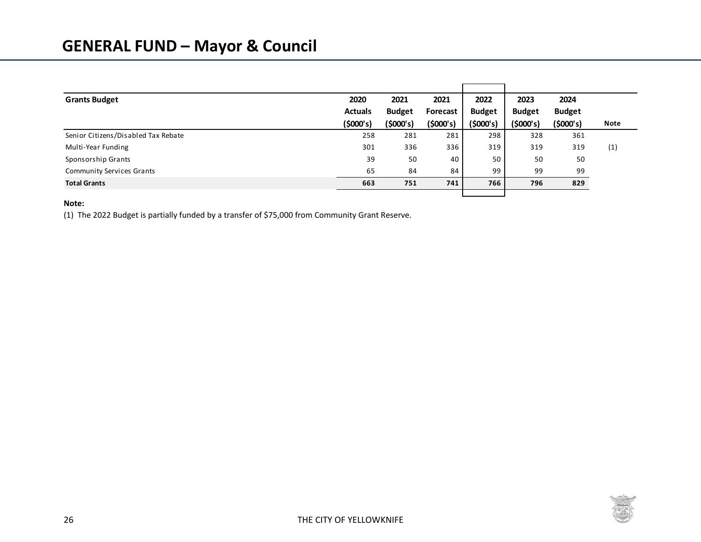| <b>Grants Budget</b>                | 2020           | 2021          | 2021     | 2022          | 2023          | 2024          |      |
|-------------------------------------|----------------|---------------|----------|---------------|---------------|---------------|------|
|                                     | <b>Actuals</b> | <b>Budget</b> | Forecast | <b>Budget</b> | <b>Budget</b> | <b>Budget</b> |      |
|                                     | (5000's)       | (\$000's)     | (5000's) | (5000's)      | (\$000's)     | (5000's)      | Note |
| Senior Citizens/Disabled Tax Rebate | 258            | 281           | 281      | 298           | 328           | 361           |      |
| Multi-Year Funding                  | 301            | 336           | 336      | 319           | 319           | 319           | (1)  |
| Sponsorship Grants                  | 39             | 50            | 40       | 50            | 50            | 50            |      |
| <b>Community Services Grants</b>    | 65             | 84            | 84       | 99            | 99            | 99            |      |
| <b>Total Grants</b>                 | 663            | 751           | 741      | 766           | 796           | 829           |      |
|                                     |                |               |          |               |               |               |      |

## **Note:**

(1) The 2022 Budget is partially funded by <sup>a</sup> transfer of \$75,000 from Community Grant Reserve.

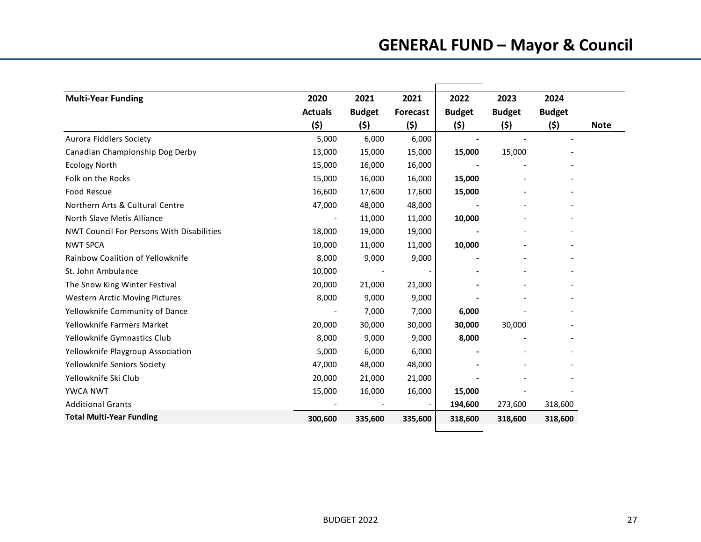| <b>Multi-Year Funding</b>                        | 2020           | 2021          | 2021            | 2022          | 2023          | 2024          |             |
|--------------------------------------------------|----------------|---------------|-----------------|---------------|---------------|---------------|-------------|
|                                                  | <b>Actuals</b> | <b>Budget</b> | <b>Forecast</b> | <b>Budget</b> | <b>Budget</b> | <b>Budget</b> |             |
|                                                  | (\$)           | (\$)          | (\$)            | (5)           | (\$)          | (\$)          | <b>Note</b> |
| Aurora Fiddlers Society                          | 5,000          | 6,000         | 6,000           |               |               |               |             |
| Canadian Championship Dog Derby                  | 13,000         | 15,000        | 15,000          | 15,000        | 15,000        |               |             |
| <b>Ecology North</b>                             | 15,000         | 16,000        | 16,000          |               |               |               |             |
| Folk on the Rocks                                | 15,000         | 16,000        | 16,000          | 15,000        |               |               |             |
| <b>Food Rescue</b>                               | 16,600         | 17,600        | 17,600          | 15,000        |               |               |             |
| Northern Arts & Cultural Centre                  | 47,000         | 48,000        | 48,000          |               |               |               |             |
| North Slave Metis Alliance                       |                | 11,000        | 11,000          | 10,000        |               |               |             |
| <b>NWT Council For Persons With Disabilities</b> | 18,000         | 19,000        | 19,000          |               |               |               |             |
| <b>NWT SPCA</b>                                  | 10,000         | 11,000        | 11,000          | 10,000        |               |               |             |
| Rainbow Coalition of Yellowknife                 | 8,000          | 9,000         | 9,000           |               |               |               |             |
| St. John Ambulance                               | 10,000         |               |                 |               |               |               |             |
| The Snow King Winter Festival                    | 20,000         | 21,000        | 21,000          |               |               |               |             |
| Western Arctic Moving Pictures                   | 8,000          | 9,000         | 9,000           |               |               |               |             |
| Yellowknife Community of Dance                   |                | 7,000         | 7,000           | 6,000         |               |               |             |
| Yellowknife Farmers Market                       | 20,000         | 30,000        | 30,000          | 30,000        | 30,000        |               |             |
| Yellowknife Gymnastics Club                      | 8,000          | 9,000         | 9,000           | 8,000         |               |               |             |
| Yellowknife Playgroup Association                | 5,000          | 6,000         | 6,000           |               |               |               |             |
| Yellowknife Seniors Society                      | 47,000         | 48,000        | 48,000          |               |               |               |             |
| Yellowknife Ski Club                             | 20,000         | 21,000        | 21,000          |               |               |               |             |
| <b>YWCA NWT</b>                                  | 15,000         | 16,000        | 16,000          | 15,000        |               |               |             |
| <b>Additional Grants</b>                         |                |               |                 | 194,600       | 273,600       | 318,600       |             |
| <b>Total Multi-Year Funding</b>                  | 300,600        | 335,600       | 335,600         | 318,600       | 318,600       | 318,600       |             |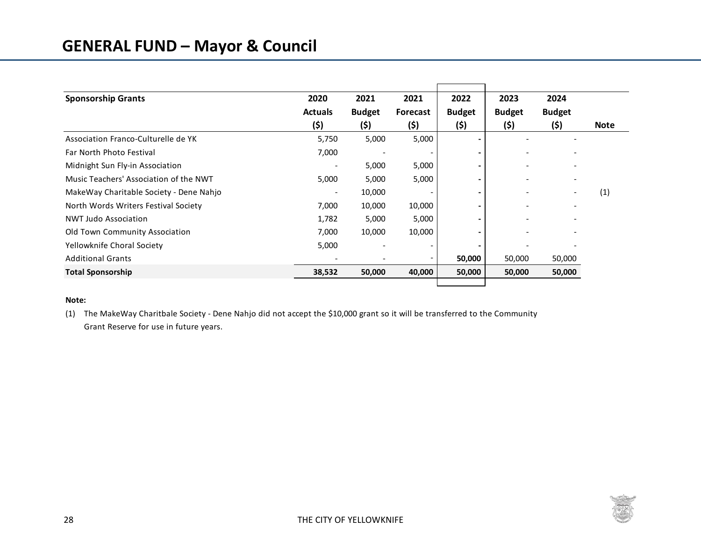## **GENERAL FUND – Mayor & Council**

| <b>Sponsorship Grants</b>               | 2020                     | 2021                     | 2021            | 2022          | 2023          | 2024          |             |
|-----------------------------------------|--------------------------|--------------------------|-----------------|---------------|---------------|---------------|-------------|
|                                         | <b>Actuals</b>           | <b>Budget</b>            | <b>Forecast</b> | <b>Budget</b> | <b>Budget</b> | <b>Budget</b> |             |
|                                         | (\$)                     | (5)                      | (5)             | (5)           | (5)           | (5)           | <b>Note</b> |
| Association Franco-Culturelle de YK     | 5,750                    | 5,000                    | 5,000           |               |               |               |             |
| Far North Photo Festival                | 7,000                    |                          |                 |               |               |               |             |
| Midnight Sun Fly-in Association         |                          | 5,000                    | 5,000           |               |               |               |             |
| Music Teachers' Association of the NWT  | 5,000                    | 5,000                    | 5,000           |               |               |               |             |
| MakeWay Charitable Society - Dene Nahjo | $\overline{\phantom{0}}$ | 10,000                   |                 |               |               |               | (1)         |
| North Words Writers Festival Society    | 7,000                    | 10,000                   | 10,000          |               |               |               |             |
| <b>NWT Judo Association</b>             | 1,782                    | 5,000                    | 5,000           |               |               |               |             |
| <b>Old Town Community Association</b>   | 7,000                    | 10,000                   | 10,000          |               |               |               |             |
| Yellowknife Choral Society              | 5,000                    | $\overline{\phantom{0}}$ |                 |               |               |               |             |
| <b>Additional Grants</b>                |                          |                          |                 | 50,000        | 50,000        | 50,000        |             |
| <b>Total Sponsorship</b>                | 38,532                   | 50,000                   | 40,000          | 50,000        | 50,000        | 50,000        |             |
|                                         |                          |                          |                 |               |               |               |             |

### **Note:**

(1) The MakeWay Charitbale Society ‐ Dene Nahjo did not accept the \$10,000 grant so it will be transferred to the Community Grant Reserve for use in future years.

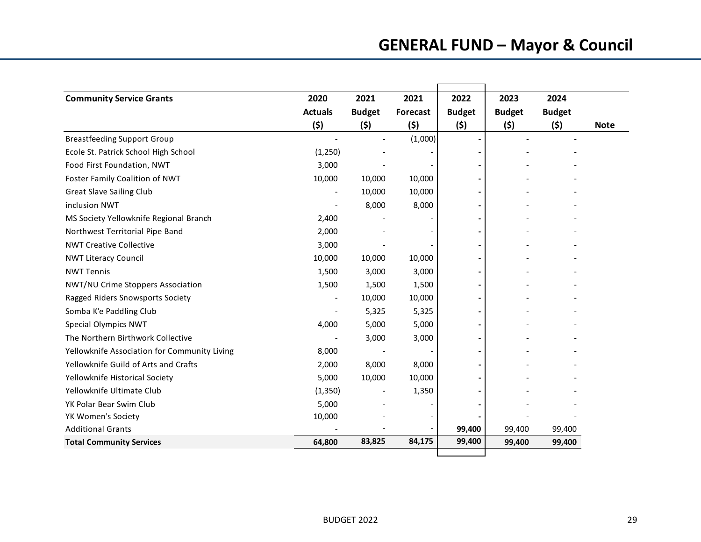| <b>Community Service Grants</b>              | 2020                     | 2021                     | 2021            | 2022          | 2023          | 2024          |  |
|----------------------------------------------|--------------------------|--------------------------|-----------------|---------------|---------------|---------------|--|
|                                              | <b>Actuals</b>           | <b>Budget</b>            | <b>Forecast</b> | <b>Budget</b> | <b>Budget</b> | <b>Budget</b> |  |
|                                              | (\$)                     | (\$)                     | (5)             | (\$)          | (5)           | (5)           |  |
| <b>Breastfeeding Support Group</b>           |                          |                          | (1,000)         |               |               |               |  |
| Ecole St. Patrick School High School         | (1,250)                  |                          |                 |               |               |               |  |
| Food First Foundation, NWT                   | 3,000                    |                          |                 |               |               |               |  |
| Foster Family Coalition of NWT               | 10,000                   | 10,000                   | 10,000          |               |               |               |  |
| <b>Great Slave Sailing Club</b>              | $\overline{\phantom{0}}$ | 10,000                   | 10,000          |               |               |               |  |
| inclusion NWT                                |                          | 8,000                    | 8,000           |               |               |               |  |
| MS Society Yellowknife Regional Branch       | 2,400                    |                          |                 |               |               |               |  |
| Northwest Territorial Pipe Band              | 2,000                    |                          |                 |               |               |               |  |
| <b>NWT Creative Collective</b>               | 3,000                    |                          |                 |               |               |               |  |
| <b>NWT Literacy Council</b>                  | 10,000                   | 10,000                   | 10,000          |               |               |               |  |
| <b>NWT Tennis</b>                            | 1,500                    | 3,000                    | 3,000           |               |               |               |  |
| NWT/NU Crime Stoppers Association            | 1,500                    | 1,500                    | 1,500           |               |               |               |  |
| Ragged Riders Snowsports Society             | $\overline{\phantom{a}}$ | 10,000                   | 10,000          |               |               |               |  |
| Somba K'e Paddling Club                      |                          | 5,325                    | 5,325           |               |               |               |  |
| Special Olympics NWT                         | 4,000                    | 5,000                    | 5,000           |               |               |               |  |
| The Northern Birthwork Collective            |                          | 3,000                    | 3,000           |               |               |               |  |
| Yellowknife Association for Community Living | 8,000                    |                          |                 |               |               |               |  |
| Yellowknife Guild of Arts and Crafts         | 2,000                    | 8,000                    | 8,000           |               |               |               |  |
| Yellowknife Historical Society               | 5,000                    | 10,000                   | 10,000          |               |               |               |  |
| Yellowknife Ultimate Club                    | (1, 350)                 | $\overline{\phantom{a}}$ | 1,350           |               |               |               |  |
| YK Polar Bear Swim Club                      | 5,000                    |                          |                 |               |               |               |  |
| YK Women's Society                           | 10,000                   |                          |                 |               |               |               |  |
| <b>Additional Grants</b>                     |                          |                          |                 | 99,400        | 99,400        | 99,400        |  |
| <b>Total Community Services</b>              | 64,800                   | 83,825                   | 84,175          | 99,400        | 99,400        | 99,400        |  |